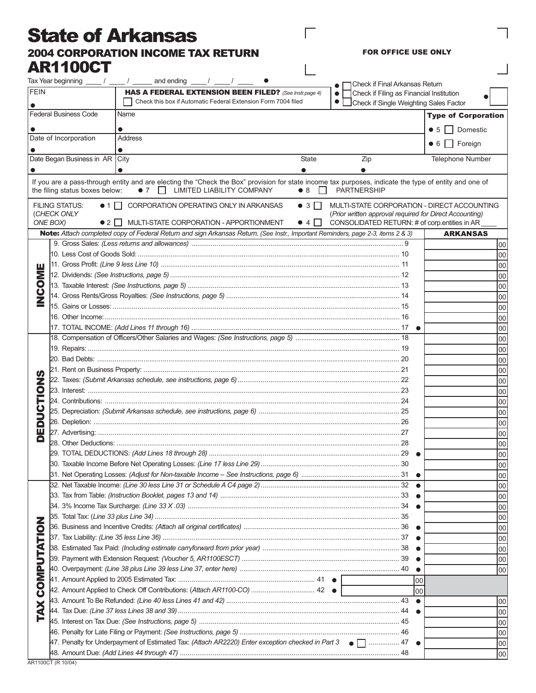## State of Arkansas 2004 CORPORATION INCOME TAX RETURN AR1100CT

FOR OFFICE USE ONLY

 $\overline{1}$ 

 $\Box$ 

 $\overline{1}$ 

|                           | Tax Year beginning $\frac{1}{\sqrt{2}}$ / $\frac{1}{\sqrt{2}}$                                                         | and ending $\frac{1}{\sqrt{2}}$ $\frac{1}{\sqrt{2}}$ $\frac{1}{\sqrt{2}}$                                                                                                                             |                                          | Check if Final Arkansas Return                                                                                                                          |                            |
|---------------------------|------------------------------------------------------------------------------------------------------------------------|-------------------------------------------------------------------------------------------------------------------------------------------------------------------------------------------------------|------------------------------------------|---------------------------------------------------------------------------------------------------------------------------------------------------------|----------------------------|
| <b>FEIN</b>               |                                                                                                                        | HAS A FEDERAL EXTENSION BEEN FILED? (See Instr.page 4)                                                                                                                                                |                                          | Check if Filing as Financial Institution<br>$\bullet$                                                                                                   |                            |
|                           | Check this box if Automatic Federal Extension Form 7004 filed<br>$\bullet$  <br>Check if Single Weighting Sales Factor |                                                                                                                                                                                                       |                                          |                                                                                                                                                         |                            |
|                           | <b>Federal Business Code</b>                                                                                           | Name                                                                                                                                                                                                  |                                          |                                                                                                                                                         | <b>Type of Corporation</b> |
|                           |                                                                                                                        | $\bullet$                                                                                                                                                                                             |                                          |                                                                                                                                                         | ● 5丨丨<br>Domestic          |
|                           | Date of Incorporation                                                                                                  | <b>Address</b>                                                                                                                                                                                        |                                          |                                                                                                                                                         |                            |
|                           |                                                                                                                        | $\bullet$                                                                                                                                                                                             |                                          |                                                                                                                                                         | • 6 Foreign                |
|                           | Date Began Business in AR                                                                                              | <b>City</b>                                                                                                                                                                                           | State                                    | Zip                                                                                                                                                     | <b>Telephone Number</b>    |
|                           |                                                                                                                        | $\bullet$                                                                                                                                                                                             |                                          |                                                                                                                                                         |                            |
|                           | the filing status boxes below:                                                                                         | If you are a pass-through entity and are electing the "Check the Box" provision for state income tax purposes, indicate the type of entity and one of<br>$\bullet$ 7 $\Box$ LIMITED LIABILITY COMPANY | • 8<br>$\Box$                            | <b>PARTNERSHIP</b>                                                                                                                                      |                            |
|                           | <b>FILING STATUS:</b><br>(CHECK ONLY<br>ONE BOX)<br>$\bullet$ 2 $\bullet$ 1                                            | • 1 CORPORATION OPERATING ONLY IN ARKANSAS<br>MULTI-STATE CORPORATION - APPORTIONMENT                                                                                                                 | $\bullet$ 3 $\Box$<br>$\bullet$ 4 $\Box$ | MULTI-STATE CORPORATION - DIRECT ACCOUNTING<br>(Prior written approval required for Direct Accounting)<br>CONSOLIDATED RETURN: # of corp.entities in AR |                            |
|                           |                                                                                                                        | Note: Attach completed copy of Federal Return and sign Arkansas Return. (See Instr., Important Reminders, page 2-3, items 2 & 3)                                                                      |                                          |                                                                                                                                                         | <b>ARKANSAS</b>            |
|                           |                                                                                                                        |                                                                                                                                                                                                       |                                          |                                                                                                                                                         | 00                         |
|                           |                                                                                                                        |                                                                                                                                                                                                       |                                          |                                                                                                                                                         | 00                         |
| ш                         |                                                                                                                        |                                                                                                                                                                                                       |                                          |                                                                                                                                                         | 00                         |
| ₹                         |                                                                                                                        |                                                                                                                                                                                                       |                                          |                                                                                                                                                         | 00                         |
|                           |                                                                                                                        |                                                                                                                                                                                                       |                                          |                                                                                                                                                         | 00                         |
| 0<br>N<br>N               |                                                                                                                        |                                                                                                                                                                                                       | 00                                       |                                                                                                                                                         |                            |
|                           |                                                                                                                        |                                                                                                                                                                                                       |                                          |                                                                                                                                                         | 00                         |
|                           |                                                                                                                        |                                                                                                                                                                                                       |                                          |                                                                                                                                                         | 00                         |
|                           |                                                                                                                        |                                                                                                                                                                                                       |                                          |                                                                                                                                                         | 00                         |
|                           |                                                                                                                        |                                                                                                                                                                                                       |                                          |                                                                                                                                                         | 00                         |
|                           |                                                                                                                        |                                                                                                                                                                                                       |                                          |                                                                                                                                                         | 00                         |
|                           |                                                                                                                        |                                                                                                                                                                                                       |                                          |                                                                                                                                                         | 00                         |
|                           |                                                                                                                        |                                                                                                                                                                                                       |                                          | 00                                                                                                                                                      |                            |
| Z                         |                                                                                                                        |                                                                                                                                                                                                       |                                          |                                                                                                                                                         | 00                         |
| <u>୦</u><br>⋿<br>us<br>Du |                                                                                                                        |                                                                                                                                                                                                       |                                          |                                                                                                                                                         | 00                         |
|                           |                                                                                                                        |                                                                                                                                                                                                       |                                          |                                                                                                                                                         | 00                         |
|                           |                                                                                                                        |                                                                                                                                                                                                       |                                          |                                                                                                                                                         | 00                         |
|                           |                                                                                                                        |                                                                                                                                                                                                       |                                          |                                                                                                                                                         | 00                         |
| Ш                         |                                                                                                                        |                                                                                                                                                                                                       |                                          |                                                                                                                                                         | 00                         |
| o                         |                                                                                                                        |                                                                                                                                                                                                       |                                          |                                                                                                                                                         | 00                         |
|                           |                                                                                                                        |                                                                                                                                                                                                       |                                          |                                                                                                                                                         | 00                         |
|                           |                                                                                                                        |                                                                                                                                                                                                       |                                          |                                                                                                                                                         | 00                         |
|                           |                                                                                                                        |                                                                                                                                                                                                       |                                          |                                                                                                                                                         | 00                         |
|                           |                                                                                                                        |                                                                                                                                                                                                       |                                          |                                                                                                                                                         | 00                         |
| UTATIO                    |                                                                                                                        |                                                                                                                                                                                                       |                                          |                                                                                                                                                         | 00                         |
|                           |                                                                                                                        |                                                                                                                                                                                                       |                                          |                                                                                                                                                         | 00                         |
|                           |                                                                                                                        |                                                                                                                                                                                                       |                                          |                                                                                                                                                         | 00                         |
|                           |                                                                                                                        |                                                                                                                                                                                                       |                                          |                                                                                                                                                         | 100                        |
|                           |                                                                                                                        |                                                                                                                                                                                                       |                                          |                                                                                                                                                         | 100                        |
|                           |                                                                                                                        |                                                                                                                                                                                                       |                                          |                                                                                                                                                         | 100                        |
|                           |                                                                                                                        |                                                                                                                                                                                                       |                                          | $\bullet$                                                                                                                                               | 100                        |
| ₫                         |                                                                                                                        | 40. Overpayment: <i>(Line 38 plus Line 39 less Line 37, enter here) …………………………………………………………………</i> …………………40                                                                                           |                                          | $\bullet$                                                                                                                                               | 00                         |
| <b>NO2</b>                |                                                                                                                        |                                                                                                                                                                                                       |                                          | 00                                                                                                                                                      |                            |
|                           |                                                                                                                        | 42. Amount Applied to Check Off Contributions: (Attach AR1100-CO)  42 ●                                                                                                                               |                                          | 100                                                                                                                                                     |                            |
| XA                        |                                                                                                                        |                                                                                                                                                                                                       |                                          | $\bullet$                                                                                                                                               | 100                        |
|                           |                                                                                                                        |                                                                                                                                                                                                       |                                          |                                                                                                                                                         | 00                         |
|                           |                                                                                                                        |                                                                                                                                                                                                       |                                          |                                                                                                                                                         | 100                        |
|                           |                                                                                                                        | 47. Penalty for Underpayment of Estimated Tax: (Attach AR2220) Enter exception checked in Part 3 $\bullet$ $\Box$ 47 $\bullet$                                                                        |                                          |                                                                                                                                                         | 00                         |
|                           |                                                                                                                        |                                                                                                                                                                                                       |                                          |                                                                                                                                                         | 00                         |
|                           |                                                                                                                        |                                                                                                                                                                                                       |                                          |                                                                                                                                                         | 00                         |